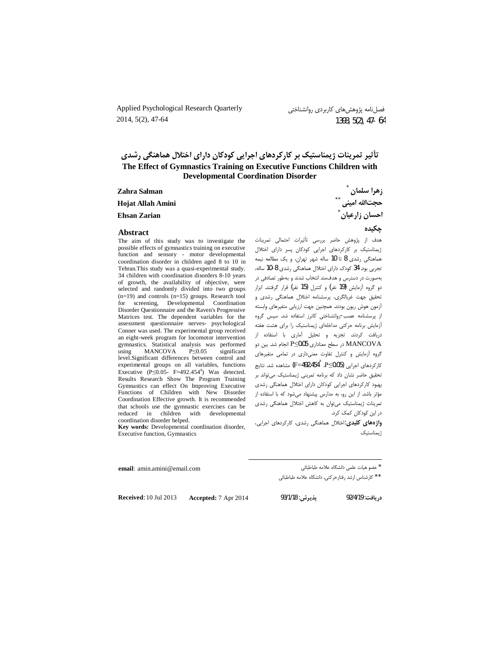Applied Psychological Research Quarterly 2014, 5(2), 47-64

## تأثیر تمرینات ژیمناستیک بر کارکردهای اجرایی کودکان دارای اختلال هماهنگی رشدی The Effect of Gymnastics Training on Executive Functions Children with **Developmental Coordination Disorder**

| Zahra Salman        | زهرا سلمان    |
|---------------------|---------------|
| Hojat Allah Amini   | حجتالله اميني |
| <b>Ehsan Zarian</b> | احسان زارعيان |

#### **Abstract**

The aim of this study was to investigate the possible effects of gymnastics training on executive function and sensory - motor developmental coordination disorder in children aged 8 to 10 in Tehran.This study was a quasi-experimental study. 34 children with coordination disorders 8-10 years of growth, the availability of objective, were selected and randomly divided into two groups  $(n=19)$  and controls  $(n=15)$  groups. Research tool for screening, Developmental Coordination Disorder Questionnaire and the Raven's Progressive Matrices test. The dependent variables for the assessment questionnaire nerves- psychological Conner was used. The experimental group received an eight-week program for locomotor intervention gymnastics. Statistical analysis was performed MANCOVA  $P \leq 0.05$ significant using level.Significant differences between control and experimental groups on all variables, functions Executive (P $\leq$ 0.05- F=492.454<sup>a</sup>) Was detected. Results Research Show The Program Training Gymnastics can effect On Improving Executive Functions of Children with New Disorder Coordination Effective growth. It is recommended that schools use the gymnastic exercises can be reduced in children with developmental coordination disorder helped.

Key words: Developmental coordination disorder, Executive function, Gymnastics

حكىدە هدف از پژوهش حاضر بررسی تأثیرات احتمالی تمرینات ژیمناستیک بر کارکردهای اجرایی کودکان پسر دارای اختلال هماهنگی رشدی 8 تا 10 ساله شهر تهران، و یک مطالعه نیمه تجربی بود. 34 کودک دارای اختلال هماهنگی رشدی 8-10 ساله،

بهصورت در دسترس و هدف مند انتخاب شدند و بهطور تصادفی در دو گروه آزمایش (19 نفر) و کنترل (15 نفر) قرار گرفتند. ابزار تحقیق جهت غربالگری، پرسشنامه اختلال هماهنگی رشدی و آزمون هوش ريون بودند. همچنين جهت ارزيابي متغيرهاي وابسته از پرسشنامه عصب-روانشناختی کانرز استفاده شد. سپس گروه آزمایش برنامه حرکتی مداخلهای ژیمناستیک را برای هشت هفته دریافت کردند. تجزیه و تحلیل آماری با استفاده از MANCOVA در سطح معناداری P≤0.05 انجام شد. بین دو گروه آزمایش و کنترل تفاوت معنی داری در تمامی متغیرهای کارکردهای اجرایی (P≤0.05-1، °F=492.454) مشاهده شد. نتایج تحقیق حاضر نشان داد که برنامه تمرینی ژیمناستیک میتواند بر بهبود کارکردهای اجرایی کودکان دارای اختلال هماهنگی رشدی مؤثر باشد. از این رو، به مدارس پیشنهاد می شود که با استفاده از تمرینات ژیمناستیک میتوان به کاهش اختلال هماهنگی رشدی در این کودکان کمک کرد.

واژههای کلیدی:اختلال هماهنگی رشدی، کارکردهای اجرایی، <sub>ا</sub> بمناستیک

\* عضو هيات علمي دانشگاه علامه طباطبائي

\*\* كارشناس ارشد رفتارحركتي. دانشگاه علامه طباطبائي

**Received: 10 Jul 2013** 

email: amin.amini@email.com

Accepted: 7 Apr 2014

يديرش: 93/1/18

د, بافت: 92/4/19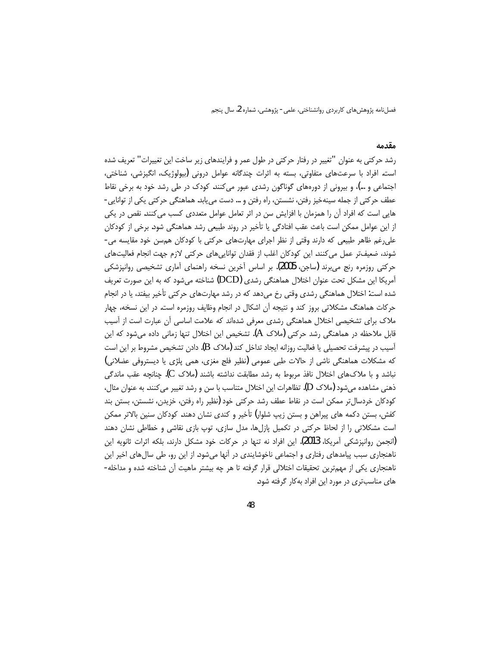#### مقدمه

رشد حرکتی به عنوان "تغییر در رفتار حرکتی در طول عمر و فرایندهای زیر ساخت این تغییرات" تعریف شده است. افراد با سرعتهای متفاوتی، بسته به اثرات چندگانه عوامل درونی (بیولوژیک، انگیزشی، شناختی، اجتماعی و …)، و بیرونی از دورههای گوناگون رشدی عبور میکنند. کودک در طی رشد خود به برخی نقاط عطف حرکتی از جمله سینهخیز رفتن، نشستن، راه رفتن و … دست میLبابد. هماهنگی حرکتی یکی از توانایی -هایی است که افراد آن را همزمان با افزایش سن در اثر تعامل عوامل متعددی کسب میکنند. نقص در یکی از این عوامل ممکن است باعث عقب افتادگی یا تأخیر در روند طبیعی رشد هماهنگی شود. برخی از کودکان علی رغم ظاهر طبیعی که دارند وقتی از نظر اجرای مهارتهای حرکتی با کودکان هم سن خود مقایسه می-شوند، ضعیفتر عمل می کنند. این کودکان اغلب از فقدان توانایی های حرکتی لازم جهت انجام فعالیت های حرکتی روزمرہ رنج می برند (ساجن، 2005). بر اساس آخرین نسخه راهنمای آماری تشخیصی روانپزشکی آمریکا این مشکل تحت عنوان اختلال هماهنگی رشدی (DCD) شناخته میشود که به این صورت تعریف شده است: اختلال هماهنگی رشدی وقتی رخ میدهد که در رشد مهارتهای حرکتی تأخیر بیفتد، یا در انجام حرکات هماهنگ مشکلاتی بروز کند و نتیجه آن اشکال در انجام وظایف روزمره است. در این نسخه، چهار ملاک برای تشخیصی اختلال هماهنگی رشدی معرفی شدهاند که علامت اساسی آن عبارت است از آسیب قابل ملاحظه در هماهنگی رشد حرکتی (ملاک A). تشخیص این اختلال تنها زمانی داده میشود که این آسیب در پیشرفت تحصیلی یا فعالیت روزانه ایجاد تداخل کند (ملاک B). دادن تشخیص مشروط بر این است که مشکلات هماهنگی ناشی از حالات طبی عمومی (نظیر فلج مغزی، همی پلژی یا دیستروفی عضلانی) نباشد و با ملاکهای اختلال نافذ مربوط به رشد مطابقت نداشته باشند (ملاک C). چنانچه عقب ماندگی ذهنی مشاهده میشود (ملاک D). تظاهرات این اختلال متناسب با سن و رشد تغییر می کنند. به عنوان مثال، کودکان خردسال تر ممکن است در نقاط عطف رشد حرکتی خود (نظیر راه رفتن، خزیدن، نشستن، بستن بند کفش، بستن دکمه های پیراهن و بستن زیپ شلوار) تأخیر و کندی نشان دهند. کودکان سنین بالاتر ممکن است مشکلاتی را از لحاظ حرکتی در تکمیل پازلها، مدل سازی، توپ بازی نقاشی و خطاطی نشان دهند (انجمن روانیزشکی آمریکا، 2013). این افراد نه تنها در حرکات خود مشکل دارند، بلکه اثرات ثانویه این ناهنجاری سبب پیامدهای رفتاری و اجتماعی ناخوشایندی در آنها میشود. از این رو، طی سالهای اخیر این ناهنجاری یکی از مهمترین تحقیقات اختلالی قرار گرفته تا هر چه بیشتر ماهیت آن شناخته شده و مداخله-های مناسبتری در مورد این افراد به کار گرفته شود.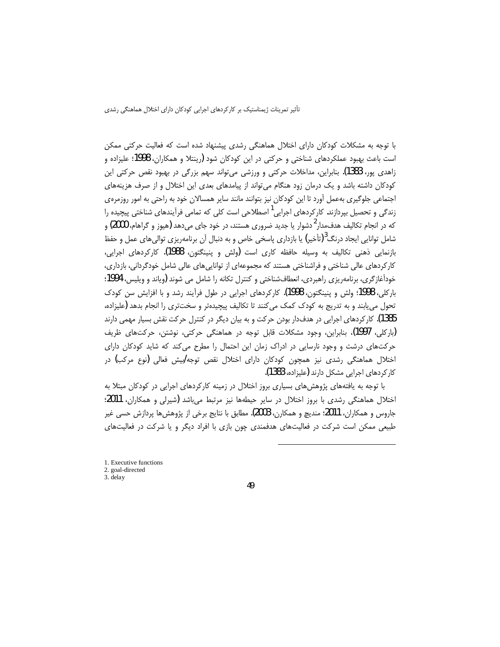با توجه به مشکلات کودکان دارای اختلال هماهنگی رشدی پیشنهاد شده است که فعالیت حرکتی ممکن است باعث بهبود عملكردهاي شناختي و حركتي در اين كودكان شود (رينتلا و همكاران، 1998؛ عليزاده و زاهدی پور، 1383). بنابراین، مداخلات حرکتی و ورزشی می¤واند سهم بزرگی در بهبود نقص حرکتی این کودکان داشته باشد و یک درمان زود هنگام می¤واند از پیامدهای بعدی این اختلال و از صرف هزینههای اجتماعی جلوگیری بهعمل آورد تا این کودکان نیز بتوانند مانند سایر همسالان خود به راحتی به امور روزمرهی زندگی و تحصیل بپردازند. کارکردهای اجرایی<sup>1</sup> اصطلاحی است کلی که تمامی فرآیندهای شناختی پیچیده را که در انجام تکالیف هدفءدار<sup>2</sup>دشوار یا جدید ضروری هستند، در خود جای میدهد (هیوز و گراهام، 2000) و شامل توانایی ایجاد درنگ<sup>3</sup>(تأخیر) یا بازداری پاسخی خاص و به دنبال آن برنامهریزی توالیهای عمل و حفظ بازنمایی ذهنی تکالیف به وسیله حافظه کاری است (ولش و پنینگتون، 1988). کارکردهای اجرایی، کار کردهای عالی شناختی و فراشناختی هستند که مجموعهای از تواناییهای عالی شامل خودگردانی، بازداری، خودآغازگری، برنامهریزی راهبردی، انعطافشناختی و کنترل تکانه را شامل می شوند (ویاند و ویلیس، 1994؛ باركلي، 1998؛ ولش و پنينگتون، 1998). كاركردهاي اجرايي در طول فرآيند رشد و با افزايش سن كودك تحول می یابند و به تدریج به کودک کمک میکنند تا تکالیف پیچیدهتر و سختتری را انجام بدهد (علیزاده، 1385). کار کردهای اجرایی در هدفدار بودن حرکت و به بیان دیگر در کنترل حرکت نقش بسیار مهمی دارند (بارکلی، 1997)، بنابراین، وجود مشکلات قابل توجه در هماهنگی حرکتی، نوشتن، حرکتهای ظریف حرکتهای درشت و وجود نارسایی در ادراک زمان این احتمال را مطرح میکند که شاید کودکان دارای اختلال هماهنگی رشدی نیز همچون کودکان دارای اختلال نقص توجه/بیش فعالی (نوع مرکب) در کار کردهای اجرایی مشکل دارند (علیزاده، 1383).

با توجه به یافتههای پژوهشهای بسیاری بروز اختلال در زمینه کارکردهای اجرایی در کودکان مبتلا به اختلال هماهنگی رشدی با بروز اختلال در سایر حیطهها نیز مرتبط میباشد (شیرلی و همکاران، 2011؛ جاروس و همکاران، 2011؛ منديچ و همکارن، 2003). مطابق با نتايج برخي از پژوهشها پردازش حسي غير طبیعی ممکن است شرکت در فعالیتهای هدفمندی چون بازی با افراد دیگر و یا شرکت در فعالیتهای

l

<sup>1.</sup> Executive functions

<sup>2.</sup> goal-directed 3. delay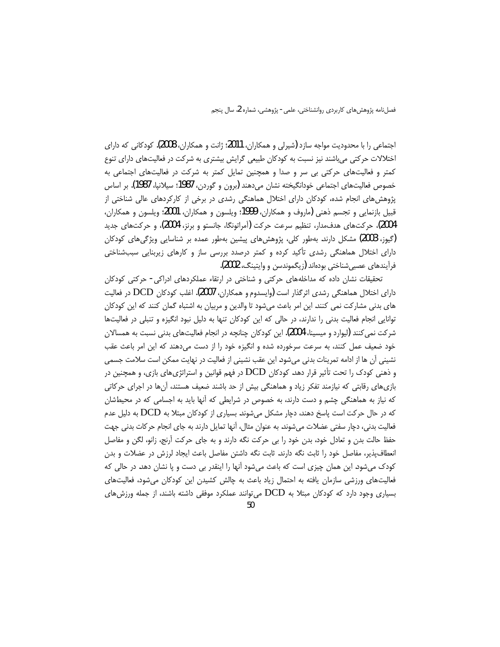اجتماعی را با محدودیت مواجه سازد (شیرلی و همکاران، 2011؛ ژانت و همکاران، 2008). کودکانی که دارای اختلالات حرکتی میباشند نیز نسبت به کودکان طبیعی گرایش بیشتری به شرکت در فعالیتهای دارای تنوع کمتر و فعالیتهای حرکتی بی سر و صدا و همچنین تمایل کمتر به شرکت در فعالیتهای اجتماعی به خصوص فعالیتهای اجتماعی خودانگیخته نشان میدهند (برون و گوردن، 1987؛ سیلانپا، 1987). بر اساس پژوهش های انجام شده، کودکان دارای اختلال هماهنگی رشدی در برخی از کارکردهای عالی شناختی از قبيل بازنمايي و تجسم ذهني (ماروف و همكاران، 1999؛ ويلسون و همكاران، 2001؛ ويلسون و همكاران، 2004)، حرکتهای هدفمدار، تنظیم سرعت حرکت (آمراتونگا، جانستو و برنز، 2004)، و حرکتهای جدید (گیوز، 2003) مشکل دارند. بهطور کلی، پژوهش های پیشین بهطور عمده بر شناسایی ویژگی های کودکان دارای اختلال هماهنگی رشدی تأکید کرده و کمتر درصدد بررسی ساز و کارهای زیربنایی سببشناختی فرآيندهاي عصبي شناختي بودهاند (زيگموندسن و وايتينگ، 2002).

تحقیقات نشان داده که مداخلههای حرکتی و شناختی در ارتقاء عملکردهای ادراکی- حرکتی کودکان دارای اختلال هماهنگی رشدی اثرگذار است (وایسدوم و همکاران، 2007). اغلب کودکان DCD در فعالیت های بدنی مشارکت نمی کنند. این امر باعث می شود تا والدین و مربیان به اشتباه گمان کنند که این کودکان توانایی انجام فعالیت بدنی را ندارند، در حالی که این کودکان تنها به دلیل نبود انگیزه و تنبلی در فعالیتها شرکت نمی کنند (لیوارد و میسینا، 2004). این کودکان چنانچه در انجام فعالیتهای بدنی نسبت به همسالان خود ضعیف عمل کنند، به سرعت سرخورده شده و انگیزه خود را از دست میدهند که این امر باعث عقب نشینی أن ها از ادامه تمرینات بدنی میشود. این عقب نشینی از فعالیت در نهایت ممکن است سلامت جسمی و ذهنی کودک را تحت تأثیر قرار دهد. کودکان DCD در فهم قوانین و استراتژیهای بازی، و همچنین در بازیهای رقابتی که نیازمند تفکر زیاد و هماهنگی بیش از حد باشند ضعیف هستند، آنها در اجرای حرکاتی که نیاز به هماهنگی چشم و دست دارند، به خصوص در شرایطی که آنها باید به اجسامی که در محیطشان که در حال حرکت است پاسخ دهند، دچار مشکل می شوند. بسیاری از کودکان مبتلا به DCD به دلیل عدم فعالیت بدنی، دچار سفتی عضلات میشوند. به عنوان مثال، آنها تمایل دارند به جای انجام حرکات بدنی جهت حفظ حالت بدن و تعادل خود، بدن خود را بی حرکت نگه دارند و به جای حرکت آرنج، زانو، لگن و مفاصل انعطاف یذیر، مفاصل خود را ثابث نگه دارند. ثابت نگه داشتن مفاصل باعث ایجاد لرزش در عضلات و بدن کودک میشود. این همان چیزی است که باعث میشود آنها را اینقدر بی دست و پا نشان دهد. در حالی که فعالیتهای ورزشی سازمان یافته به احتمال زیاد باعث به چالش کشیدن این کودکان می شود، فعالیتهای بسیاری وجود دارد که کودکان مبتلا به DCD میتوانند عملکرد موفقی داشته باشند، از جمله ورزش های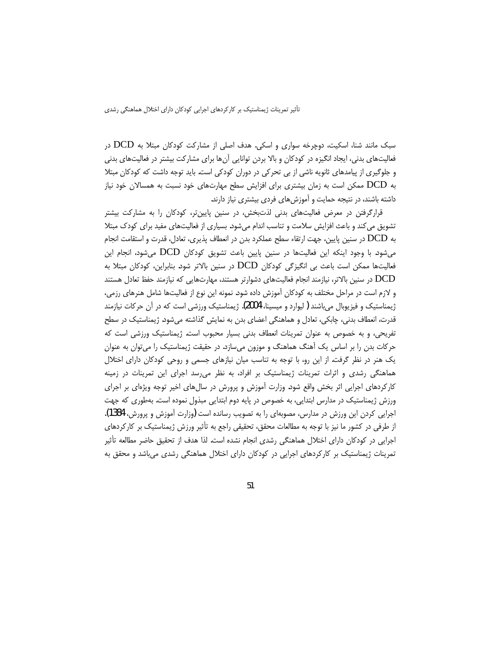سبک مانند شنا، اسکیت، دوچرخه سواری و اسکی. هدف اصلی از مشارکت کودکان مبتلا به DCD در فعالیتهای بدنی، ایجاد انگیزه در کودکان و بالا بردن توانایی آنها برای مشارکت بیشتر در فعالیتهای بدنی و جلوگیری از پیامدهای ثانویه ناشی از بی تحرکی در دوران کودکی است. باید توجه داشت که کودکان مبتلا به DCD ممکن است به زمان بیشتری برای افزایش سطح مهارتهای خود نسبت به همسالان خود نیاز داشته باشند، در نتیجه حمایت و آموزشهای فردی بیشتری نیاز دارند.

قرارگرفتن در معرض فعالیتهای بدنی لذتبخش، در سنین پایینتر، کودکان را به مشارکت بیشتر تشویق می کند و باعث افزایش سلامت و تناسب اندام می شود. بسیاری از فعالیتهای مفید برای کودک مبتلا به DCD در سنین پایین، جهت ارتقاء سطح عملکرد بدن در انعطاف پذیری، تعادل، قدرت و استقامت انجام می شود. با وجود اینکه این فعالیتها در سنین پایین باعث تشویق کودکان DCD می شود، انجام این فعالیتها ممکن است باعث بی انگیزگی کودکان DCD در سنین بالاتر شود. بنابراین، کودکان مبتلا به DCD در سنین بالاتر، نیازمند انجام فعالیتهای دشوارتر هستند، مهارتهایی که نیازمند حفظ تعادل هستند و لازم است در مراحل مختلف به کودکان آموزش داده شود. نمونه این نوع از فعالیتها شامل هنرهای رزمی، ژیمناستیک و فیزیوبال میباشند (لیوارد و میسینا، 2004). ژیمناستیک ورزشی است که در آن حرکات نیازمند قدرت، انعطاف بدنی، چابکی، تعادل و هماهنگی اعضای بدن به نمایش گذاشته میشود. ژیمناستیک در سطح تفریحی، و به خصوص به عنوان تمرینات انعطاف بدنی بسیار محبوب است. ژیمناستیک ورزشی است که حرکات بدن را بر اساس یک آهنگ هماهنگ و موزون میسازد. در حقیقت ژیمناستیک را میتوان به عنوان یک هنر در نظر گرفت. از این رو، با توجه به تناسب میان نیازهای جسمی و روحی کودکان دارای اختلال هماهنگی رشدی و اثرات تمرینات ژیمناستیک بر افراد، به نظر می رسد اجرای این تمرینات در زمینه کارکردهای اجرایی اثر بخش واقع شود. وزارت آموزش و پرورش در سالهای اخیر توجه ویژهای بر اجرای ورزش ژیمناستیک در مدارس ابتدایی، به خصوص در پایه دوم ابتدایی مبذول نموده است. بهطوری که جهت اجرایی کردن این ورزش در مدارس، مصوبهای را به تصویب رسانده است (وزارت آموزش و پرورش، 1384). از طرفی در کشور ما نیز با توجه به مطالعات محقق، تحقیقی راجع به تأثیر ورزش ژیمناستیک بر کارکردهای اجرایی در کودکان دارای اختلال هماهنگی رشدی انجام نشده است. لذا هدف از تحقیق حاضر مطالعه تأثیر تمرینات ژیمناستیک بر کارکردهای اجرایی در کودکان دارای اختلال هماهنگی رشدی میباشد و محقق به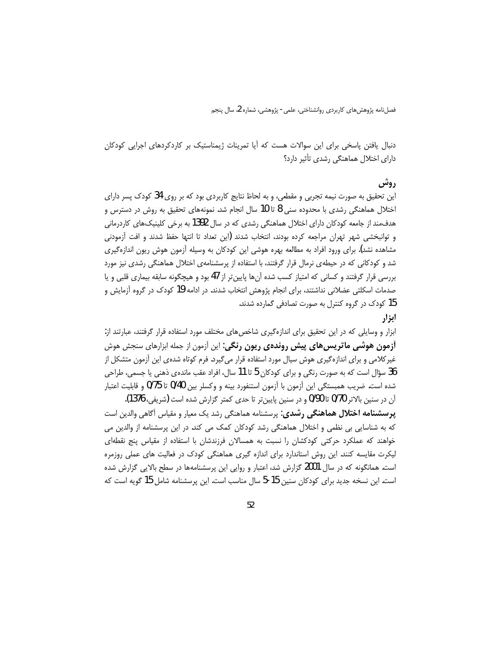دنبال یافتن پاسخی برای این سوالات هست که آیا تمرینات ژیمناستیک بر کاردکردهای اجرایی کودکان دارای اختلال هماهنگی رشدی تأثیر دارد؟

## **, وش**

این تحقیق به صورت نیمه تجربی و مقطعی، و به لحاظ نتایج کاربردی بود که بر روی 34 کودک پسر دارای اختلال هماهنگی رشدی با محدوده سنی 8 تا 10 سال انجام شد. نمونههای تحقیق به روش در دسترس و هدف،مند از جامعه کودکان دارای اختلال هماهنگی رشدی که در سال 1392 به برخی کلینیکهای کاردرمانی و توانبخشی شهر تهران مراجعه کرده بودند، انتخاب شدند (این تعداد تا انتها حفظ شدند و افت آزمودنی مشاهده نشد). برای ورود افراد به مطالعه بهره هوشی این کودکان به وسیله آزمون هوش ریون اندازهگیری شد و کودکانی که در حیطهی نرمال قرار گرفتند، با استفاده از پرسشنامهی اختلال هماهنگی رشدی نیز مورد بررسی قرار گرفتند و کسانی که امتیاز کسب شده آنها پایین تر از 47 بود و هیچگونه سابقه بیماری قلبی و یا صدمات اسکلتی عضلانی نداشتند، برای انجام پژوهش انتخاب شدند. در ادامه 19 کودک در گروه آزمایش و 15 کودک در گروه کنترل به صورت تصادفی گمارده شدند.

# ابزار

ابزار و وسایلی که در این تحقیق برای اندازهگیری شاخصهای مختلف مورد استفاده قرار گرفتند، عبارتند از: **آزمون هوشی ماتریس های پیش روندهی ریون رنگی**: این آزمون از جمله ابزارهای سنجش هوش غیر کلامی و برای اندازه گیری هوش سیال مورد استفاده قرار می¢یرد. فرم کوتاه شدهی این آزمون متشکل از 36 سؤال است که به صورت رنگی و برای کودکان 5 تا 11 سال، افراد عقب ماندهی ذهنی یا جسمی، طراحی شده است. ضریب همبستگی این آزمون با آزمون استنفورد بینه و وکسلر بین 0/40 تا 0/75 و قابلیت اعتبار

آن در سنین بالاتر 0/70 تا 0/90 و در سنین پایینتر تا حدی کمتر گزارش شده است (شریفی، 1376). **یرسشنامه اختلال هماهنگی رشدی**: پرسشنامه هماهنگی رشد یک معیار و مقیاس آگاهی والدین است که به شناسایی بی نظمی و اختلال هماهنگی رشد کودکان کمک می کند. در این پرسشنامه از والدین می خواهند که عملکرد حرکتی کودکشان را نسبت به همسالان فرزندشان با استفاده از مقیاس پنج نقطهای لیکرت مقایسه کنند. این روش استاندارد برای اندازه گیری هماهنگی کودک در فعالیت های عملی روزمره است. همانگونه که در سال 2001 گزارش شد، اعتبار و روایی این پرسشنامهها در سطح بالایی گزارش شده است. این نسخه جدید برای کودکان سنین 15-5 سال مناسب است. این پرسشنامه شامل 15 گویه است که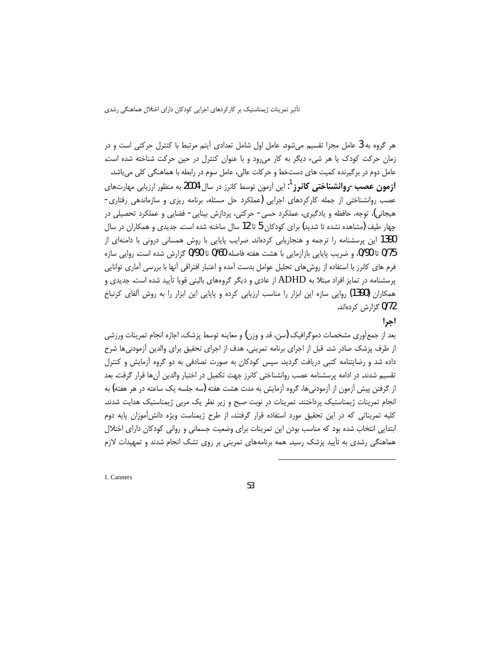هر گروه به 3 عامل مجزا تقسیم میشود. عامل اول شامل تعدادی آیتم مرتبط با کنترل حرکتی است و در زمان حرکت کودک یا هر شیء دیگر به کار می ود و با عنوان کنترل در حین حرکت شناخته شده است. عامل دوم در برگیرنده کمیت های دستخط و حرکات عالی، عامل سوم در رابطه با هماهنگی کلی می باشد. **آزمون عصب-روانشناختی کانرز** <sup>1</sup>: این آزمون توسط کانرز در سال 2004 به منظور ارزیابی مهارتهای عصب روانشناختی از جمله کارکردهای اجرایی (عملکرد حل مسئله، برنامه ریزی و سازماندهی رفتاری-هیجانی)، توجه، حافظه و یادگیری، عملکرد حسی- حرکتی، پردازش بینایی- فضایی و عملکرد تحصیلی در چهار طیف (مشاهده نشده تا شدید) برای کودکان 5 تا 12 سال ساخته شده است. جدیدی و همکاران در سال 1390 این پرسشنامه را ترجمه و هنجاریابی کردهاند. ضرایب پایایی با روش همسانی درونی با دامنهای از 0/75 تا 0/90، وضريب پايايي بازآزمايي با هشت هفته فاصله 0/60 تا 0/90 گزارش شده است. روايي سازه فرم های کانرز با استفاده از روشهای تحلیل عوامل بدست آمده و اعتبار افتراقی آنها با بررسی آماری توانایی پرسشنامه در تمایز افراد مبتلا به ADHD از عادی و دیگر گروههای بالینی قویا تأیید شده است. جدیدی و همکاران (1390) روایی سازه این ابزار را مناسب ارزیابی کرده و پایایی این ابزار را به روش آلفای کرنباخ 0/72 گزارش کردهاند.

## احرا

بعد از جمعآوری مشخصات دموگرافیک (سن، قد و وزن) و معاینه توسط پزشک، اجازه انجام تمرینات ورزشی از طرف پزشک صادر شد. قبل از اجرای برنامه تمرینی، هدف از اجرای تحقیق برای والدین آزمودنی ها شرح داده شد و رضایتنامه کتبی دریافت گردید. سپس کودکان به صورت تصادفی به دو گروه اُزمایش و کنترل تقسیم شدند. در ادامه پرسشنامه عصب روانشناختی کانرز جهت تکمیل در اختیار والدین أنها قرار گرفت. بعد از گرفتن پیش آزمون از آزمودنیها، گروه آزمایش به مدت هشت هفته (سه جلسه یک ساعته در هر هفته) به انجام تمرینات ژیمناستیک پرداختند. تمرینات در نوبت صبح و زیر نظر یک مربی ژیمناستیک هدایت شدند. کلیه تمریناتی که در این تحقیق مورد استفاده قرار گرفتند، از طرح ژیمناست ویژه دانش[موزان پایه دوم ابتدایی انتخاب شده بود که مناسب بودن این تمرینات برای وضعیت جسمانی و روانی کودکان دارای اختلال هماهنگی رشدی به تأیید پزشک رسید. همه برنامههای تمرینی بر روی تشک انجام شدند و تمهیدات لازم

1. Canners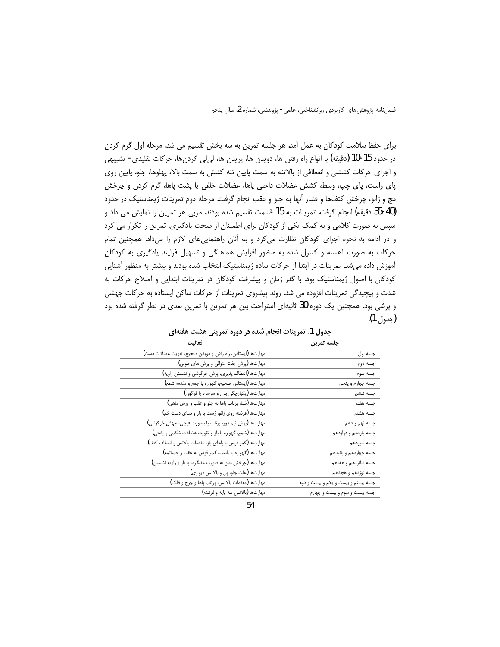برای حفظ سلامت کودکان به عمل آمد. هر جلسه تمرین به سه بخش تقسیم می شد. مرحله اول گرم کردن در حدود 15-10 (دقیقه) با انواع راه رفتن ها، دویدن ها، پریدن ها، لی|لی کردنها، حرکات تقلیدی- تشبیهی و اجرای حرکات کششی و انعطافی از بالاتنه به سمت پایین تنه کشش به سمت بالا، پهلوها، جلو، پایین روی پای راست، پای چپ، وسط، کشش عضلات داخلی پاها، عضلات خلفی یا پشت پاها، گرم کردن و چرخش مچ و زانو، چرخش کتفها و فشار آنها به جلو و عقب انجام گرفت. مرحله دوم تمرینات ژیمناستیک در حدود (40-35 دقيقه) انجام گرفت. تمرينات به 15 قسمت تقسيم شده بودند. مربي هر تمرين را نمايش مي داد و سپس به صورت کلامی و به کمک یکی از کودکان برای اطمینان از صحت یادگیری، تمرین را تکرار می کرد و در ادامه به نحوه اجرای کودکان نظارت می کرد و به آنان راهنمایی های لازم را می داد. همچنین تمام حرکات به صورت آهسته و کنترل شده به منظور افزایش هماهنگی و تسهیل فرایند یادگیری به کودکان آموزش داده می شد. تمرینات در ابتدا از حرکات ساده ژیمناستیک انتخاب شده بودند و بیشتر به منظور آشنایی کودکان با اصول ژیمناستیک بود. با گذر زمان و پیشرفت کودکان در تمرینات ابتدایی و اصلاح حرکات به شدت و پیچیدگی تمرینات افزوده می شد. روند پیشروی تمرینات از حرکات ساکن ایستاده به حرکات جهشی و پرشی بود. همچنین یک دوره 30 ثانیهای استراحت بین هر تمرین با تمرین بعدی در نظر گرفته شده بود (جدول 1).

| $\overline{\phantom{a}}$                                   |                                      |
|------------------------------------------------------------|--------------------------------------|
| فعاليت                                                     | جلسه تمرين                           |
| مهارتها (ایستادن، راه رفتن و دویدن صحیح، تقویت عضلات دست)  | جلسه اول                             |
| مهارتها (پرش جفت متوالی و پرش های طولی)                    | جلسه دوم                             |
| مهارتها (انعطاف پذیری، پرش خرگوشی و نشستن زاویه)           | جلسه سوم                             |
| مهارتها (ايستادن صحيح، گهواره پا جمع و مقدمه شمع)          | جلسه چهارم و پنجم                    |
| مهارتها (يكپارچگى بدن و سرسره يا فرگون)                    | جلسه ششم                             |
| مهارتها (شنا، پرتاب پاها به جلو و عقب و پرش ماهي)          | جلسه هفتم                            |
| مهارتها (فرشته روى زانو، ژست پا باز و شناى دست خم)         | جلسه هشتم                            |
| مهارتها (پرش نيم دور، پرتاب پا بصورت قيچي، جهش خرگوشي)     | جلسه نهم و دهم                       |
| مهارتها (شمع، گهواره پا باز و تقويت عضلات شكمي و پشتي)     | جلسه يازدهم و دوازدهم                |
| مهارتها (كمر قوس با پاهاى باز، مقدمات بالانس و انعطاف كتف) | جلسه سيزدهم                          |
| مهارتها (گهواره پا راست، كمر قوس به عقب و چمباتمه)         | جلسه چهاردهم و پانزدهم               |
| مهارتها (چرخش بدن به صورت عقبگرد، پا باز و زاویه نشستن)    | جلسه شانزدهم و هفدهم                 |
| مهارتها (غلت جلو، پل و بالانس ديواري)                      | جلسه نوزدهم و هجدهم                  |
| مهارتها (مقدمات بالانس، پرتاب پاها و چرخ و فلک)            | جلسه بیستم و بیست و یکم و بیست و دوم |
| مهارتها (بالانس سه پايه و فرشته)                           | جلسه بیست و سوم و بیست و چهارم       |

جدول 1. تمرينات انجام شده در دوره تمريني هشت هفتهاي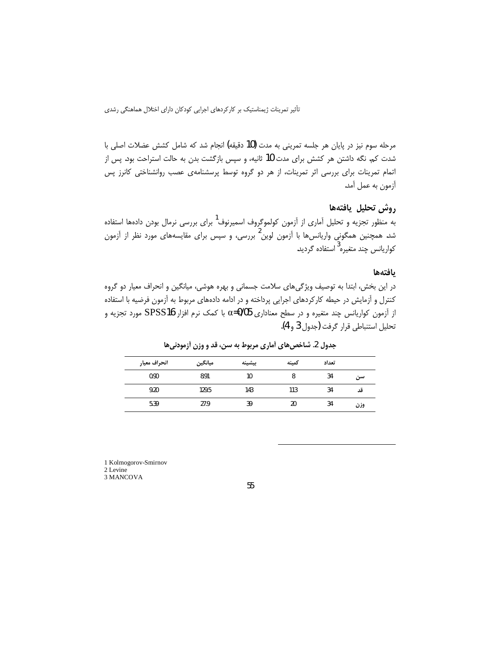مرحله سوم نیز در پایان هر جلسه تمرینی به مدت (10 دقیقه) انجام شد که شامل کشش عضلات اصلی با شدت کم. نگه داشتن هر کشش برای مدت 10 ثانیه، و سپس بازگشت بدن به حالت استراحت بود. پس از اتمام تمرینات برای بررسی اثر تمرینات، از هر دو گروه توسط پرسشنامهی عصب روانشناختی کانرز پس آزمون به عمل آمد.

# روش تحليل يافتهها

به منظور تجزیه و تحلیل آماری از آزمون کولموگروف اسمیرنوف<sup>1</sup> برای بررسی نرمال بودن دادهها استفاده شد. همچنین همگونی واریانسها با آزمون لوین<sup>2</sup> بررسی، و سپس برای مقایسههای مورد نظر از آزمون کواریانس چند متغیره<sup>3</sup> استفاده گردید.

#### بافتهها

در این بخش، ابتدا به توصیف ویژگیهای سلامت جسمانی و بهره هوشی، میانگین و انحراف معیار دو گروه کنترل و آزمایش در حیطه کارکردهای اجرایی پرداخته و در ادامه دادههای مربوط به آزمون فرضیه با استفاده از آزمون کواریانس چند متغیره و در سطح معناداری 05/05¤ با کمک نرم افزار SPSS16 مورد تجزیه و تحليل استنباطي قرار كرفت (جدول 3 و 4).

|      | تعداد | كمينه | بيشينه | ميانگين | انحراف معيار |  |
|------|-------|-------|--------|---------|--------------|--|
| سہ م | 34    | 8     | 10     | 8.91    | 0.90         |  |
| قد   | 34    | 113   | 143    | 129.5   | 9.20         |  |
| وزن  | 34    | 20    | 39     | 27.9    | 5.39         |  |

جدول 2. شاخص های آماری مربوط به سن، قد و وزن آزمودنی ها

1 Kolmogorov-Smirnov

2 Levine 3 MANCOVA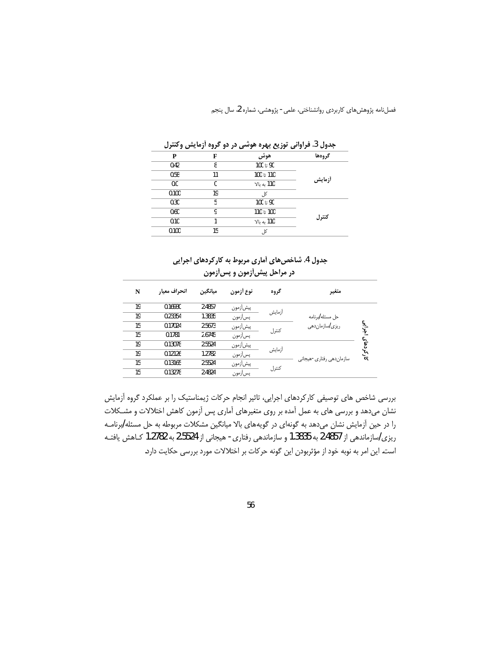|       |    | جنون ت عزاواتی ترزیبی بہتر ہمیشی در دو انزود ارتکایش و عکرتا |        |
|-------|----|--------------------------------------------------------------|--------|
| P     | F  | هوش                                                          | گروهها |
| 0.42  | 8  | 90 تا 100                                                    |        |
| 0.58  | 11 | 110 تا 100                                                   |        |
| 0.0   | 0  | 110 به بالا                                                  | أزمايش |
| 0.100 | 19 | کا .                                                         |        |
| 0.30  | 5  | 90 تا 100                                                    |        |
| 0.60  | 9  | 100 تا 110                                                   | كنترل  |
| 0.10  |    | 110 به بالا                                                  |        |
| 0.100 | 15 | کل                                                           |        |
|       |    |                                                              |        |

حدول 3. فراواني توزيع پيوه هوشي در دو گروه آزمايش وكنترل

# جدول 4. شاخصهای آماری مربوط به کار کردهای اجرایی در مراحل پیش[زمون و پس[زمون

| N  | انحراف معيار | ميانگين | نوع أزمون | گروه   | متغير                               |
|----|--------------|---------|-----------|--------|-------------------------------------|
| 19 | 0.16930      | 2.4857  | پيشأزمون  | أزمايش |                                     |
| 19 | 0.23354      | 1.3835  | پسأزمون   |        | حل مسئله <i>إ</i> برنامه            |
| 15 | 0.17024      | 2.5673  | پيشأزمون  |        | بتوابي<br>ریز <i>ی اس</i> ازمان دهی |
| 15 | 0.1781       | 2.6745  | يسأزمون   | كنترل  |                                     |
| 19 | 0.13078      | 2.5524  | پیش آزمون |        | کار کردهای                          |
| 19 | 0.12126      | 1.2782  | پسأزمون   | أزمايش |                                     |
| 15 | 0.13165      | 2.5524  | پیش[زمون  |        | سازمان دھی رفتاری -ھیجانی           |
| 15 | 0.13278      | 2.4824  | پسأزمون   | كنترل  |                                     |

بررسی شاخص های توصیفی کارکردهای اجرایی، تاثیر انجام حرکات ژیمناستیک را بر عملکرد گروه آزمایش نشان میدهد و بررسی های به عمل آمده بر روی متغیرهای آماری پس آزمون کاهش اختلالات و مشـکلات را در حین آزمایش نشان میدهد به گونهای در گویههای بالا میانگین مشکلات مربوطه به حل مسئله/برنامـه ریزی/سازماندهی از 2.4857 به 1.3835 و سازماندهی رفتاری- هیجانی از 2.5524 به 1.2782 کـاهش یافتـه است. این امر به نوبه خود از مؤثربودن این گونه حرکات بر اختلالات مورد بررسی حکایت دارد.

56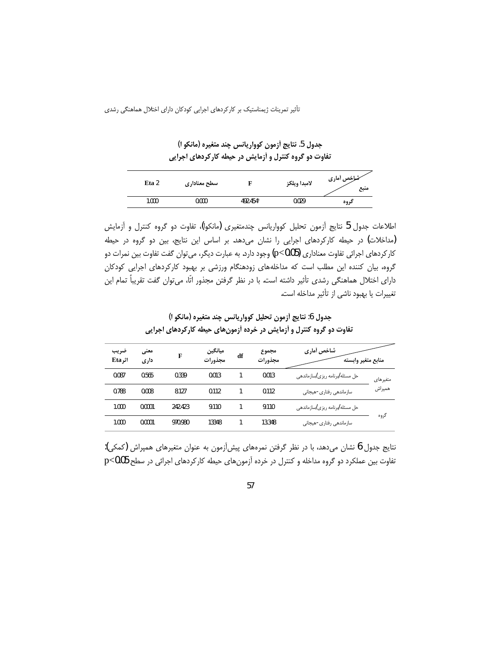جدول 5. نتايج أزمون كوواريانس چند متغيره (مانكو ا) تفاوت دو گروه کنترل و آزمایش در حیطه کارکردهای اجرایی

| Eta 2 | سطح معناداري |                      | لامبدا ويلكز | خملخص أمارى<br>منبع |
|-------|--------------|----------------------|--------------|---------------------|
| 1.000 | 0.000        | 492.454 <sup>a</sup> | 0.029        | کروه                |

اطلاعات جدول 5 نتايج أزمون تحليل كوواريانس چندمتغيري (مانكوا)، تفاوت دو گروه كنترل و أزمايش (مداخلات) در حیطه کارکردهای اجرایی را نشان میدهد. بر اساس این نتایج، بین دو گروه در حیطه کار کردهای اجرائی تفاوت معناداری (p<0.05) وجود دارد. به عبارت دیگر، می¤وان گفت تفاوت بین نمرات دو گروه، بیان کننده این مطلب است که مداخلههای زودهنگام ورزشی بر بهبود کارکردهای اجرایی کودکان دارای اختلال هماهنگی رشدی تأثیر داشته است. با در نظر گرفتن مجذور اتّا، می¤وان گفت تقریباً تمام این تغییرات یا بهبود ناشی از تأثیر مداخله است.

| ضريب<br>اثر Eta | معنى<br>داری | F       | ميانگين<br>مجذورات | df | مجموع<br>مجذورات | شاخص أماري<br>منابع متغير وابسته                 |          |
|-----------------|--------------|---------|--------------------|----|------------------|--------------------------------------------------|----------|
| 0.087           | 0.565        | 0.339   | 0.013              |    | 0.013            | حل مسئله <i> ب</i> رنامه ریزی  سازماندهی         | متغيرهاي |
| 0.788           | 0.008        | 8.127   | 0.112              |    | 0.112            | سازماندهی رفتاری-هیجانی                          | همپراش   |
| 1.000           | 0.0001       | 242.423 | 9.110              |    | 9.110            | حل مسئله <i>اب</i> رنامه ریزی <i>ا</i> سازماندهی |          |
| 1.000           | 0.0001       | 970.980 | 13348              |    | 13.348           | سازماندهی رفتاری-هیجانی                          | گروه     |

جدول 6: نتايج أزمون تحليل كوواريانس چند متغيره (مانكو ا) تفاوت دو گروه کنترل و آزمایش در خرده آزمونهای حیطه کارکردهای اجرایی

نتايج جدول 6 نشان مىدهد، با در نظر گرفتن نمرههاى پيشآزمون به عنوان متغيرهاى همپراش (كمكى): تفاوت بین عملکرد دو گروه مداخله و کنترل در خرده آزمونهای حیطه کارکردهای اجرائی در سطح p<0.05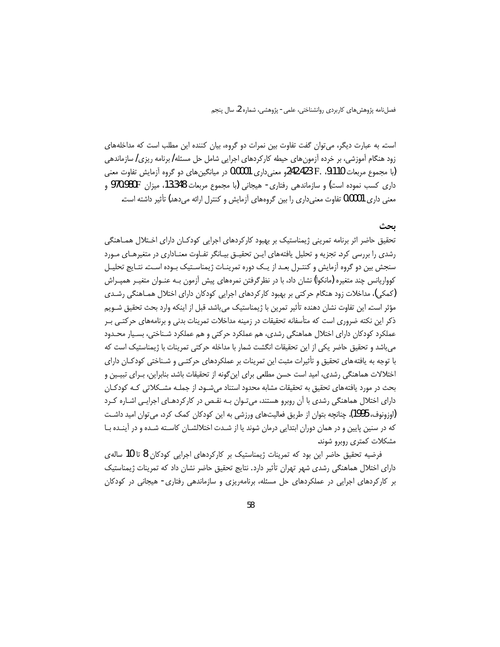است. به عبارت دیگر، می توان گفت تفاوت بین نمرات دو گروه، بیان کننده این مطلب است که مداخلههای زود هنگام آموزشی، بر خرده آزمون های حیطه کارکردهای اجرایی شامل حل مسئله/ برنامه ریزی/ سازماندهی (با مجموع مربعات P. .9.110 و 242.423و معنى دارى 0.0001 در ميانگين هاى دو گروه آزمايش تفاوت معنى داری کسب نموده است) و سازماندهی رفتاری- هیجانی (با مجموع مربعات 13.348، میزان 970.980F و معنی داری 0.0001 تفاوت معنیداری را بین گروههای آزمایش و کنترل ارائه میدهد) تأثیر داشته است.

## ىحث

تحقیق حاضر اثر برنامه تمرینی ژیمناستیک بر بهبود کارکردهای اجرایی کودکـان دارای اخـتلال همـاهنگی رشدی را بررسی کرد. تجزیه و تحلیل یافتههای ایـن تحقیـق بیـانگر تفـاوت معنـاداری در متغیرهـای مـورد سنجش بین دو گروه آزمایش و کنتـرل بعـد از یـک دوره تمرینـات ژیمناسـتیک بـوده اسـت. نتـایج تحلیـل کوواریانس چند متغیره (مانکوا) نشان داد، با در نظر گرفتن نمرههای پیش آزمون بـه عنـوان متغیـر همپـراش (کمکی)، مداخلات زود هنگام حرکتی بر بهبود کارکردهای اجرایی کودکان دارای اختلال همـاهنگی رشـدی مؤثر است. این تفاوت نشان دهنده تأثیر تمرین با ژیمناستیک میباشد. قبل از اینکه وارد بحث تحقیق شــویم ذکر این نکته ضروری است که متأسفانه تحقیقات در زمینه مداخلات تمرینات بدنی و برنامههای حرکتبی بـر عملکرد کودکان دارای اختلال هماهنگی رشدی، هم عملکرد حرکتی و هم عملکرد شـناختی، بسـیار محـدود می باشد و تحقیق حاضر یکی از این تحقیقات انگشت شمار با مداخله حرکتی تمرینات با ژیمناستیک است که با توجه به یافتههای تحقیق و تأثیرات مثبت این تمرینات بر عملکردهای حرکتبی و شـناختی کودکـان دارای اختلالات هماهنگی رشدی، امید است حسن مطلعی برای این گونه از تحقیقات باشد. بنابراین، بـرای تبیـین و بحث در مورد یافتههای تحقیق به تحقیقات مشابه محدود استناد می شـود. از جملـه مشـکلاتی کـه کودکـان دارای اختلال هماهنگی رشدی با آن روبرو هستند، میتوان بـه نقـص در کارکردهـای اجرایـی اشـاره کـرد (اوزونوف، 1995). چنانچه بتوان از طریق فعالیتهای ورزشی به این کودکان کمک کرد، می توان امید داشت که در سنین پایین و در همان دوران ابتدایی درمان شوند یا از شـدت اختلالشـان کاسـته شـده و در آینـده بـا مشکلات کمتری روبرو شوند.

فرضیه تحقیق حاضر این بود که تمرینات ژیمناستیک بر کارکردهای اجرایی کودکان 8 تا 10 سالهی دارای اختلال هماهنگی رشدی شهر تهران تأثیر دارد. نتایج تحقیق حاضر نشان داد که تمرینات ژیمناستیک بر کارکردهای اجرایی در عملکردهای حل مسئله، برنامهریزی و سازماندهی رفتاری- هیجانی در کودکان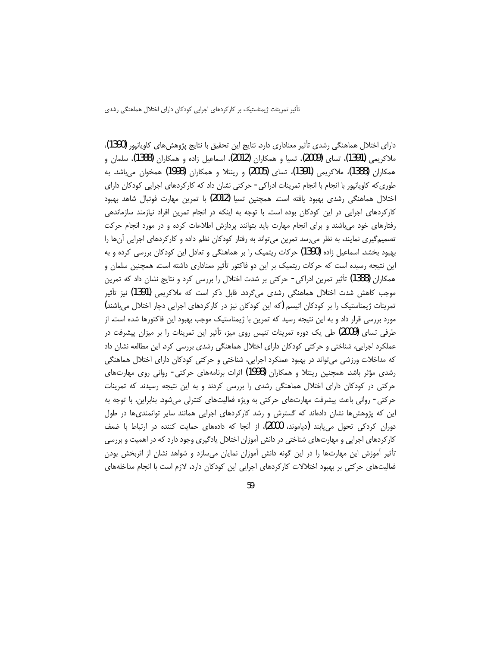دارای اختلال هماهنگی رشدی تأثیر معناداری دارد. نتایج این تحقیق با نتایج پژوهش های کاویانیور (1390)، ملاکریمی (1391)، تسای (2009)، تسیا و همکاران (2012)، اسماعیل زاده و همکاران (1388)، سلمان و همکاران (1388)، ملاکریمی (1391)، تسای (2005) و رینتلا و همکاران (1998) همخوان می،باشد. به طوری که کاویانپور با انجام با انجام تمرینات ادراکی - حرکتی نشان داد که کارکردهای اجرایی کودکان دارای اختلال هماهنگی رشدی بهبود یافته است. همچنین تسیا (2012) با تمرین مهارت فوتبال شاهد بهبود کارکردهای اجرایی در این کودکان بوده است. با توجه به اینکه در انجام تمرین افراد نیازمند سازماندهی رفتارهای خود می باشند و برای انجام مهارت باید بتوانند پردازش اطلاعات کرده و در مورد انجام حرکت تصمیمگیری نمایند، به نظر می رسد تمرین می تواند به رفتار کودکان نظم داده و کارکردهای اجرایی آنها را بهبود بخشد. اسماعیل زاده (1390) حرکات ریتمیک را بر هماهنگی و تعادل این کودکان بررسی کرده و به این نتیجه رسیده است که حرکات ریتمیک بر این دو فاکتور تأثیر معناداری داشته است. همچنین سلمان و همکاران (1388) تأثیر تمرین ادراکی- حرکتی بر شدت اختلال را بررسی کرد و نتایج نشان داد که تمرین موجب کاهش شدت اختلال هماهنگی رشدی میگردد. قابل ذکر است که ملاکریمی (1391) نیز تأثیر تمرینات ژیمناستیک را بر کودکان اتیسم (که این کودکان نیز در کارکردهای اجرایی دچار اختلال میباشند) مورد بررسی قرار داد و به این نتیجه رسید که تمرین با ژیمناستیک موجب بهبود این فاکتورها شده است. از طرفی تسای (2009) طی یک دوره تمرینات تنیس روی میز، تأثیر این تمرینات را بر میزان پیشرفت در عملکرد اجرایی، شناختی و حرکتی کودکان دارای اختلال هماهنگی رشدی بررسی کرد. این مطالعه نشان داد که مداخلات ورزشی می تواند در بهبود عملکرد اجرایی، شناختی و حرکتی کودکان دارای اختلال هماهنگی رشدی مؤثر باشد. همچنین رینتلا و همکاران (1998) اثرات برنامههای حرکتی- روانی روی مهارتهای حرکتی در کودکان دارای اختلال هماهنگی رشدی را بررسی کردند و به این نتیجه رسیدند که تمرینات حرکتی- روانی باعث پیشرفت مهارتهای حرکتی به ویژه فعالیتهای کنترلی میشود. بنابراین، با توجه به این که پژوهشها نشان دادهاند که گسترش و رشد کارکردهای اجرایی همانند سایر توانمندیها در طول دوران کردکی تحول می یابند (دیاموند، 2000)، از آنجا که دادههای حمایت کننده در ارتباط با ضعف کارکردهای اجرایی و مهارتهای شناختی در دانش آموزان اختلال یادگیری وجود دارد که در اهمیت و بررسی تأثیر آموزش این مهارتها را در این گونه دانش آموزان نمایان میسازد و شواهد نشان از اثربخش بودن فعالیتهای حرکتی بر بهبود اختلالات کارکردهای اجرایی این کودکان دارد، لازم است با انجام مداخلههای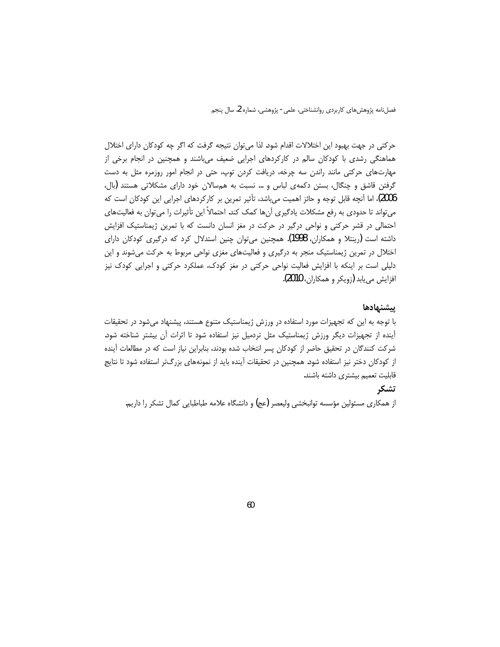حرکتی در جهت بهبود این اختلالات اقدام شود. لذا می توان نتیجه گرفت که اگر چه کودکان دارای اختلال هماهنگی رشدی با کودکان سالم در کارکردهای اجرایی ضعیف میباشند و همچنین در انجام برخی از مهارتهای حرکتی مانند راندن سه چرخه، دریافت کردن توپ، حتی در انجام امور روزمره مثل به دست گرفتن قاشق و چنگال، بستن دکمهی لباس و … نسبت به همسالان خود دارای مشکلاتی هستند (بال، 2006)، اما آنچه قابل توجه و حائز اهمیت میباشد، تأثیر تمرین بر کارکردهای اجرایی این کودکان است که می تواند تا حدودی به رفع مشکلات یادگیری آنها کمک کند. احتمالاً این تأثیرات را می توان به فعالیتهای احتمالی در قشر حرکتی و نواحی درگیر در حرکت در مغز انسان دانست که با تمرین ژیمناستیک افزایش داشته است (رینتلا و همکاران، 1998). همچنین می¤وان چنین استدلال کرد که درگیری کودکان دارای اختلال در تمرین ژیمناستیک منجر به درگیری و فعالیتهای مغزی نواحی مربوط به حرکت میشوند و این دلیلی است بر اینکه با افزایش فعالیت نواحی حرکتی در مغز کودک، عملکرد حرکتی و اجرایی کودک نیز افزايش مي يابد (زويكر و همكاران، 2010).

#### ييشنهادها

با توجه به این که تجهیزات مورد استفاده در ورزش ژیمناستیک متنوع هستند، پیشنهاد میشود در تحقیقات أينده از تجهيزات ديگر ورزش ژيمناستيک مثل تردميل نيز استفاده شود تا اثرات أن بيشتر شناخته شود. شرکت کنندگان در تحقیق حاضر از کودکان پسر انتخاب شده بودند، بنابراین نیاز است که در مطالعات آینده از کودکان دختر نیز استفاده شود. همچنین در تحقیقات آینده باید از نمونههای بزرگتر استفاده شود تا نتایج قابلیت تعمیم بیشتری داشته باشند.

# تشكر

از همکاری مسئولین مؤسسه توانبخشی ولیعصر (عج) و دانشگاه علامه طباطبایی کمال تشکر را داریم.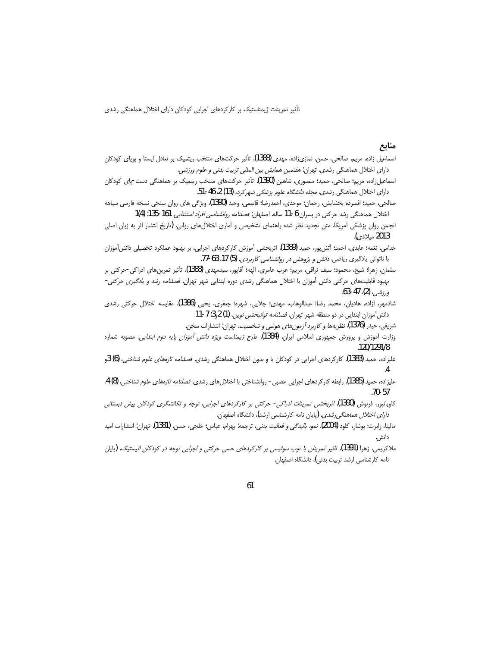## منابع

- اسماعیل زاده، مریم. صالحی، حسن. نمازیزاده، مهدی (1388). تأثیر حرکتهای منتخب ریتمیک بر تعادل ایستا و پویای کودکان دارای اختلال هماهنگی رشدی. تهران: *هفتمین همایش بین المللی تربیت بدنی و علوم ورزشی.*
- اسماعیلزاده، مریم؛ صالحی، حمید؛ منصوری، شاهین (1390). تأثیر حرکتهای منتخب ریتمیک بر هماهنگی دست-پای کودکان .دارای اختلال هماهنگی رشدی. *مجله دانشگاه علوم پزشکی شهر کرد،* (13) 2، 46-51.
- صالحي، حميد؛ افسرده بخشايش، رحمان؛ موحدي، احمدرضا؛ قاسمي، وحيد (1390)، ويژگي هاي روان سنجي نسخه فارسي سياهه اختلال هماهنگی رشد حرکتی در پسران 6-11 ساله. اصفهان: *فصلنامه روانشناسی افراد استثنایی*. 161-135: (4)1
- انجمن روان پزشکی آمریکا. متن تجدید نظر شده راهنمای تشخیصی و آماری اختلالهای روانی. (تاریخ انتشار اثر به زبان اصلی .2013 مىلادى*.*).
- خدامي، نغمه؛ عابدي، احمد؛ آتش1990 مجميد (1389). اثربخشي آموزش كاركردهاي اجرايي، بر بهبود عملكرد تحصيلي دانش[موزان با ناتوانی یادگیری ریاضی. *دانش و پژوهش در روانشناسی کاربردی*. (5) 17. 63-77.
- سلمان، زهرا؛ شیخ، محمود؛ سیف نراقی، مریم؛ عرب عامری، الهه؛ آقاپور، سیدمهدی (1388). تأثیر تمرینهای ادراکی-حرکتی بر بهبود قابلیتهای حرکتی دانش آموزان با اختلال هماهنگی رشدی دوره ابتدایی شهر تهران. *فصلنامه رشد و یادگیری حرکتی*-ورزشي، (2)، 47-63.
- شادمهر، آزاده. هادیان، محمد رضا؛ عبدالوهاب، مهدی؛ جلایی، شهره؛ جعفری، یحیی (1386). مقایسه اختلال حرکتی رشدی دانش آموزان ابتدایی در دو منطقه شهر تهران. *فصلنامه توانبخشی نوین*، (1) 2و3: 7-11
	- شريفي، حيدر (1376)*. نظريهها و كاربرد آزمونهاى هوشي و شخصيت*. تهران: انتشارات سخن.
- وزارت آموزش و پرورش جمهوری اسلامی ایران. (1384). طر*ح ژیمناست ویژه دانش آموزان پایه دوم ابتدایی*. مصوبه شماره .120/1291/8
- علیزاده، حمید (1383). کارکردهای اجرایی در کودکان با و بدون اختلال هماهنگی رشدی. *فصلنامه تازههای علوم شناختی*، (6) 3و .4
- عليزاده، حميد (1385). رابطه كاركردهاي اجرايي عصبي روانشناختي با اختلالهاي رشدي. *فصلنامه تازههاي علوم شناختي،* (8) 4، .70-57
- کاویانپور، فرنوش (1390). *اثربخشی تمرینات ادراکی- حرکتی بر کارکردهای اجرایی، توجه و تکانشگری کودکان پیش دبستانی* د*ارای اختلال هماهنگی رشدی*. (پایان نامه کارشناسی ارشد)، دانشگاه اصفهان.
- مالينا، رابرت؛ بوشار، كلود (2004). *نمو، باليدگي و فعاليت بدني،* ترجمه: بهرام، عباس؛ خلجي، حسن. (1381). تهران: انتشارات اميد دانش .
- ملاکریمی، زهرا (1391). *تاثیر تمرینان با توپ سوئیسی بر کارکردهای حسی حرکتی و اجرایی توجه در کودکان اتیستیک.* (پایان نامه کارشناسی ارشد تربیت بدنی)، دانشگاه اصفهان.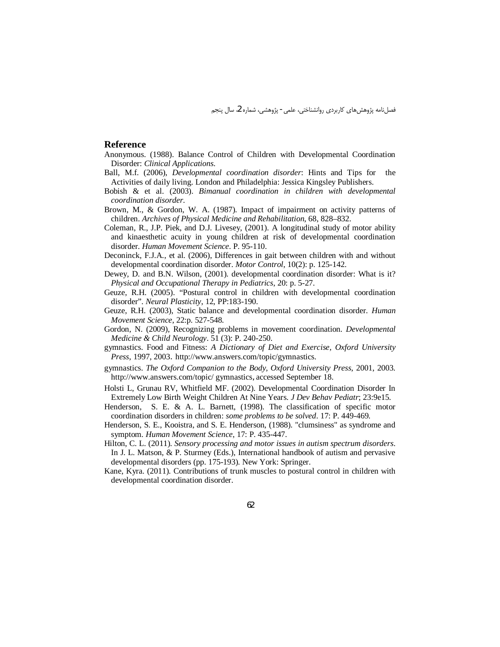#### **Reference**

- Anonymous. (1988). Balance Control of Children with Developmental Coordination Disorder: Clinical Applications.
- Ball, M.f. (2006), *Developmental coordination disorder*: Hints and Tips for the Activities of daily living. London and Philadelphia: Jessica Kingsley Publishers.
- Bobish  $\&$  et al. (2003). Bimanual coordination in children with developmental coordination disorder.
- Brown, M., & Gordon, W. A. (1987). Impact of impairment on activity patterns of children. Archives of Physical Medicine and Rehabilitation, 68, 828–832.
- Coleman, R., J.P. Piek, and D.J. Livesey, (2001). A longitudinal study of motor ability and kinaesthetic acuity in young children at risk of developmental coordination disorder. Human Movement Science. P. 95-110.
- Deconinck, F.J.A., et al. (2006), Differences in gait between children with and without developmental coordination disorder. Motor Control, 10(2): p. 125-142.
- Dewey, D. and B.N. Wilson, (2001). developmental coordination disorder: What is it? Physical and Occupational Therapy in Pediatrics, 20: p. 5-27.
- Geuze, R.H. (2005). "Postural control in children with developmental coordination disorder". Neural Plasticity, 12, PP:183-190.
- Geuze, R.H. (2003), Static balance and developmental coordination disorder. Human Movement Science, 22:p. 527-548.
- Gordon, N. (2009), Recognizing problems in movement coordination. *Developmental* Medicine & Child Neurology. 51 (3): P. 240-250.
- gymnastics. Food and Fitness: A Dictionary of Diet and Exercise, Oxford University Press, 1997, 2003. http://www.answers.com/topic/gymnastics.
- gymnastics. The Oxford Companion to the Body, Oxford University Press, 2001, 2003. http://www.answers.com/topic/ gymnastics, accessed September 18.
- Holsti L, Grunau RV, Whitfield MF. (2002). Developmental Coordination Disorder In Extremely Low Birth Weight Children At Nine Years. J Dev Behav Pediatr; 23:9e15.
- Henderson, S. E. & A. L. Barnett,  $(1998)$ . The classification of specific motor coordination disorders in children: *some problems to be solved*. 17: P. 449-469.
- Henderson, S. E., Kooistra, and S. E. Henderson, (1988). "clumsiness" as syndrome and symptom. Human Movement Science, 17: P. 435-447.
- Hilton, C. L. (2011). Sensory processing and motor issues in autism spectrum disorders. In J. L. Matson, & P. Sturmey (Eds.), International handbook of autism and pervasive developmental disorders (pp. 175-193). New York: Springer.
- Kane, Kyra. (2011). Contributions of trunk muscles to postural control in children with developmental coordination disorder.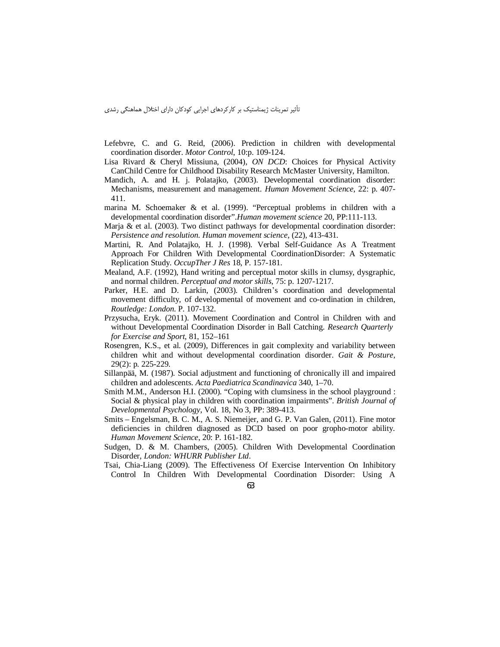- Lefebvre, C. and G. Reid, (2006). Prediction in children with developmental coordination disorder. *Motor Control*, 10:p. 109-124.
- Lisa Rivard & Cheryl Missiuna, (2004), *ON DCD*: Choices for Physical Activity CanChild Centre for Childhood Disability Research McMaster University, Hamilton.
- Mandich, A. and H. j. Polatajko, (2003). Developmental coordination disorder: Mechanisms, measurement and management. *Human Movement Science*, 22: p. 407- 411.
- marina M. Schoemaker & et al. (1999). "Perceptual problems in children with a developmental coordination disorder".*Human movement science* 20, PP:111-113.
- Marja & et al. (2003). Two distinct pathways for developmental coordination disorder: *Persistence and resolution. Human movement science*, (22), 413-431.
- Martini, R. And Polatajko, H. J. (1998). Verbal Self-Guidance As A Treatment Approach For Children With Developmental CoordinationDisorder: A Systematic Replication Study. *OccupTher J Res* 18, P. 157-181.
- Mealand, A.F. (1992), Hand writing and perceptual motor skills in clumsy, dysgraphic, and normal children. *Perceptual and motor skills*, 75: p. 1207-1217.
- Parker, H.E. and D. Larkin, (2003). Children's coordination and developmental movement difficulty, of developmental of movement and co-ordination in children, *Routledge: London*. P. 107-132.
- Przysucha, Eryk. (2011). Movement Coordination and Control in Children with and without Developmental Coordination Disorder in Ball Catching. *Research Quarterly for Exercise and Sport*, 81, 152–161
- Rosengren, K.S., et al. (2009), Differences in gait complexity and variability between children whit and without developmental coordination disorder. *Gait & Posture*, 29(2): p. 225-229.
- Sillanpää, M. (1987). Social adjustment and functioning of chronically ill and impaired children and adolescents. *Acta Paediatrica Scandinavica* 340, 1–70.
- Smith M.M., Anderson H.I. (2000). "Coping with clumsiness in the school playground : Social & physical play in children with coordination impairments". *British Journal of Developmental Psychology*, Vol. 18, No 3, PP: 389-413.
- Smits Engelsman, B. C. M., A. S. Niemeijer, and G. P. Van Galen, (2011). Fine motor deficiencies in children diagnosed as DCD based on poor gropho-motor ability. *Human Movement Science*, 20: P. 161-182.
- Sudgen, D. & M. Chambers, (2005). Children With Developmental Coordination Disorder, *London: WHURR Publisher Ltd*.
- Tsai, Chia-Liang (2009). The Effectiveness Of Exercise Intervention On Inhibitory Control In Children With Developmental Coordination Disorder: Using A